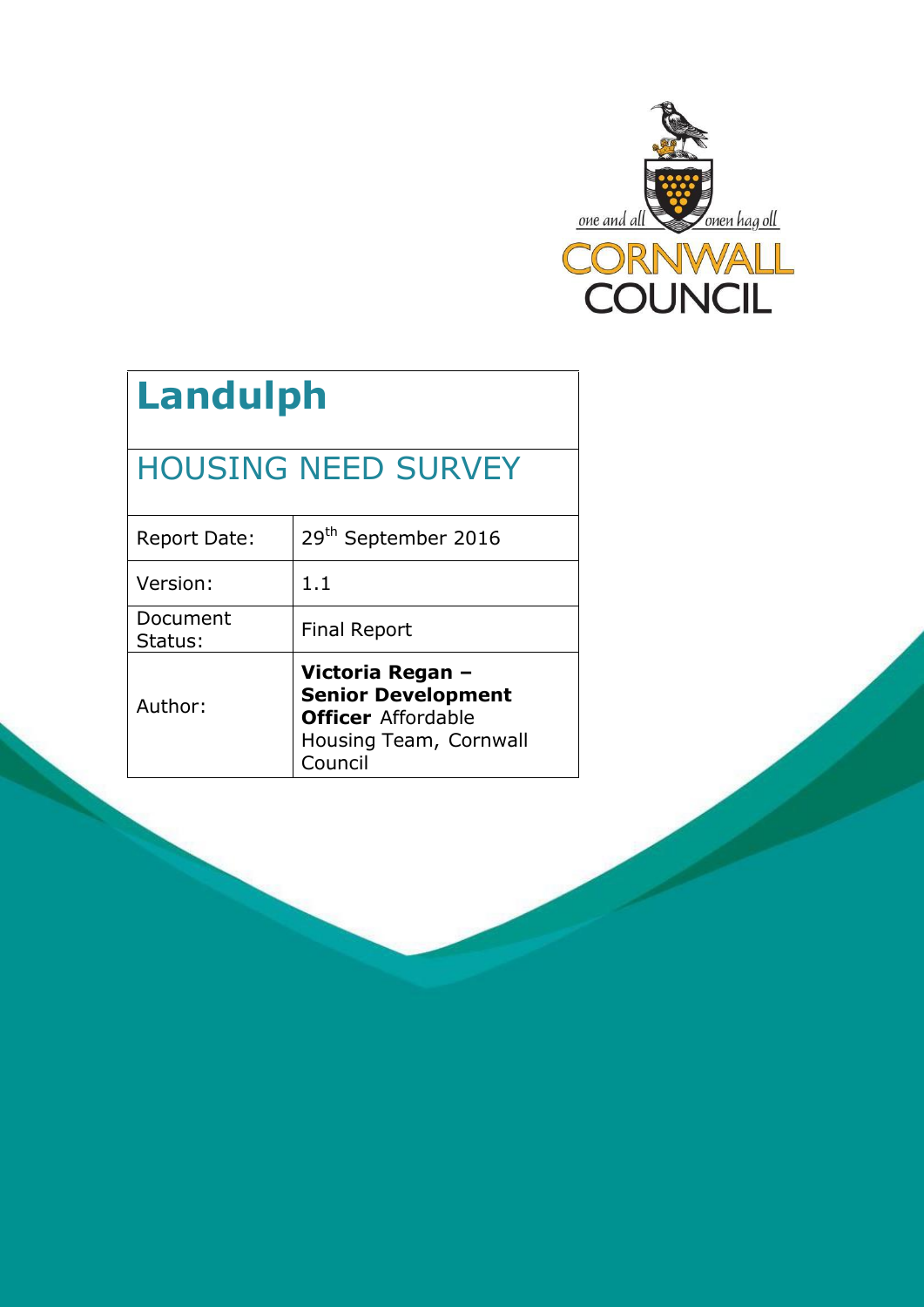

# **Landulph**

## HOUSING NEED SURVEY

| <b>Report Date:</b> | 29 <sup>th</sup> September 2016                                                                                 |
|---------------------|-----------------------------------------------------------------------------------------------------------------|
| Version:            | 1.1                                                                                                             |
| Document<br>Status: | <b>Final Report</b>                                                                                             |
| Author:             | Victoria Regan -<br><b>Senior Development</b><br><b>Officer</b> Affordable<br>Housing Team, Cornwall<br>Council |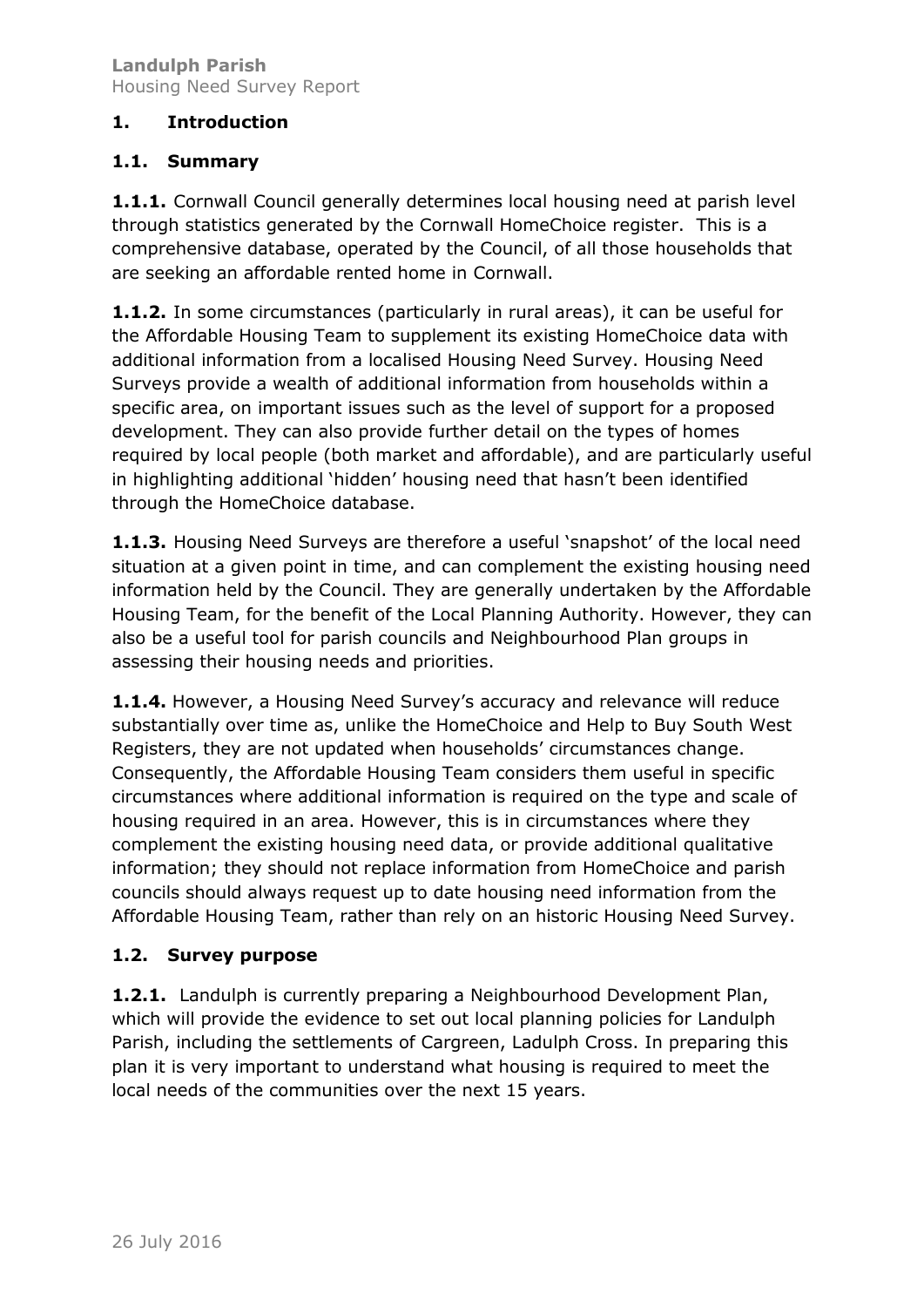## **1. Introduction**

## **1.1. Summary**

**1.1.1.** Cornwall Council generally determines local housing need at parish level through statistics generated by the Cornwall HomeChoice register. This is a comprehensive database, operated by the Council, of all those households that are seeking an affordable rented home in Cornwall.

**1.1.2.** In some circumstances (particularly in rural areas), it can be useful for the Affordable Housing Team to supplement its existing HomeChoice data with additional information from a localised Housing Need Survey. Housing Need Surveys provide a wealth of additional information from households within a specific area, on important issues such as the level of support for a proposed development. They can also provide further detail on the types of homes required by local people (both market and affordable), and are particularly useful in highlighting additional 'hidden' housing need that hasn't been identified through the HomeChoice database.

**1.1.3.** Housing Need Surveys are therefore a useful 'snapshot' of the local need situation at a given point in time, and can complement the existing housing need information held by the Council. They are generally undertaken by the Affordable Housing Team, for the benefit of the Local Planning Authority. However, they can also be a useful tool for parish councils and Neighbourhood Plan groups in assessing their housing needs and priorities.

**1.1.4.** However, a Housing Need Survey's accuracy and relevance will reduce substantially over time as, unlike the HomeChoice and Help to Buy South West Registers, they are not updated when households' circumstances change. Consequently, the Affordable Housing Team considers them useful in specific circumstances where additional information is required on the type and scale of housing required in an area. However, this is in circumstances where they complement the existing housing need data, or provide additional qualitative information; they should not replace information from HomeChoice and parish councils should always request up to date housing need information from the Affordable Housing Team, rather than rely on an historic Housing Need Survey.

## **1.2. Survey purpose**

**1.2.1.** Landulph is currently preparing a Neighbourhood Development Plan, which will provide the evidence to set out local planning policies for Landulph Parish, including the settlements of Cargreen, Ladulph Cross. In preparing this plan it is very important to understand what housing is required to meet the local needs of the communities over the next 15 years.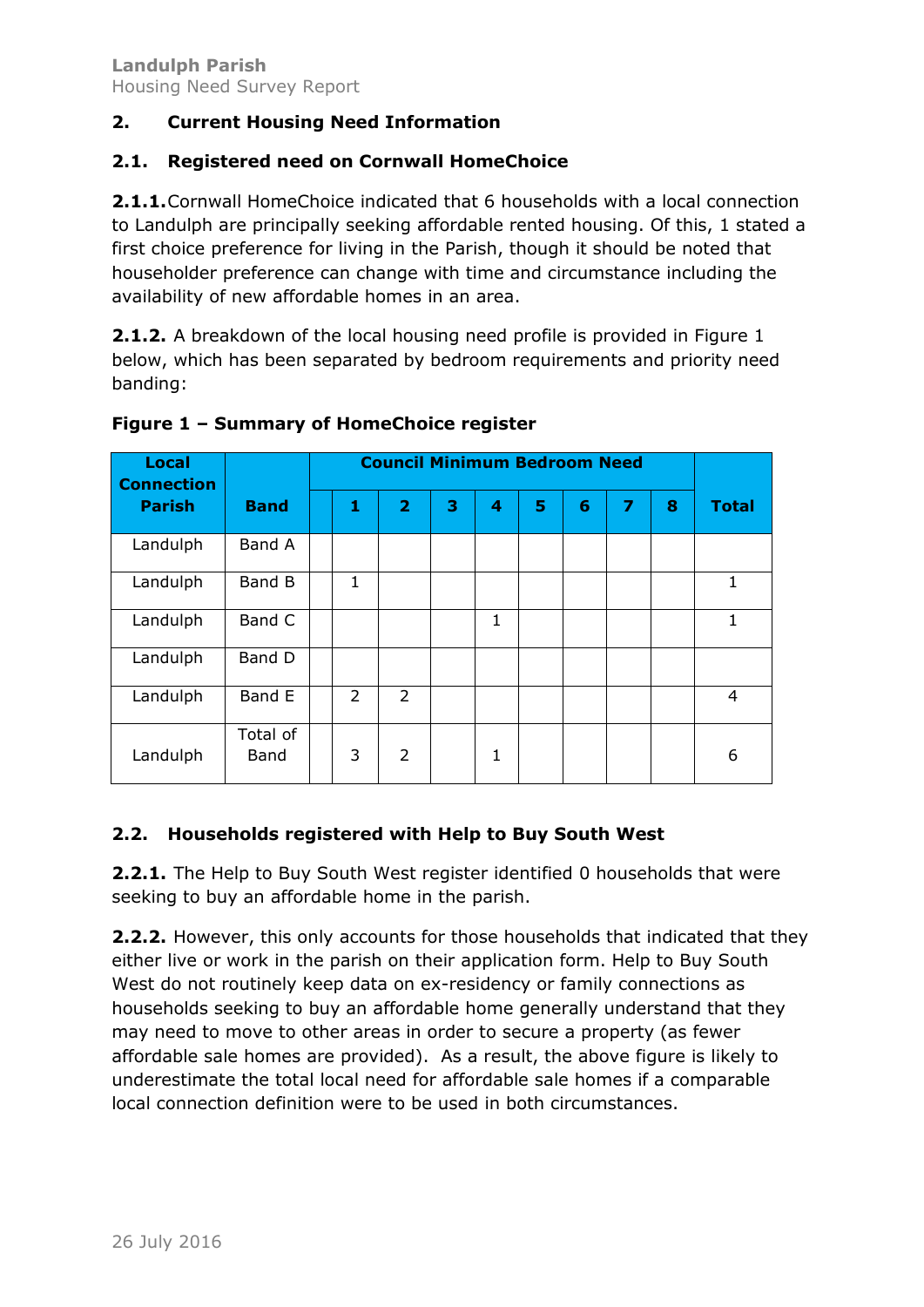## **2. Current Housing Need Information**

#### **2.1. Registered need on Cornwall HomeChoice**

**2.1.1.**Cornwall HomeChoice indicated that 6 households with a local connection to Landulph are principally seeking affordable rented housing. Of this, 1 stated a first choice preference for living in the Parish, though it should be noted that householder preference can change with time and circumstance including the availability of new affordable homes in an area.

**2.1.2.** A breakdown of the local housing need profile is provided in Figure 1 below, which has been separated by bedroom requirements and priority need banding:

| <b>Local</b><br><b>Connection</b> |                  | <b>Council Minimum Bedroom Need</b> |                |                |   |              |   |   |   |   |                |
|-----------------------------------|------------------|-------------------------------------|----------------|----------------|---|--------------|---|---|---|---|----------------|
| <b>Parish</b>                     | <b>Band</b>      |                                     | 1              | $\overline{2}$ | 3 | 4            | 5 | 6 | 7 | 8 | <b>Total</b>   |
| Landulph                          | Band A           |                                     |                |                |   |              |   |   |   |   |                |
| Landulph                          | Band B           |                                     | $\mathbf{1}$   |                |   |              |   |   |   |   | 1              |
| Landulph                          | Band C           |                                     |                |                |   | 1            |   |   |   |   | 1              |
| Landulph                          | Band D           |                                     |                |                |   |              |   |   |   |   |                |
| Landulph                          | Band E           |                                     | $\overline{2}$ | $\overline{2}$ |   |              |   |   |   |   | $\overline{4}$ |
| Landulph                          | Total of<br>Band |                                     | 3              | 2              |   | $\mathbf{1}$ |   |   |   |   | 6              |

#### **Figure 1 – Summary of HomeChoice register**

## **2.2. Households registered with Help to Buy South West**

**2.2.1.** The Help to Buy South West register identified 0 households that were seeking to buy an affordable home in the parish.

**2.2.2.** However, this only accounts for those households that indicated that they either live or work in the parish on their application form. Help to Buy South West do not routinely keep data on ex-residency or family connections as households seeking to buy an affordable home generally understand that they may need to move to other areas in order to secure a property (as fewer affordable sale homes are provided). As a result, the above figure is likely to underestimate the total local need for affordable sale homes if a comparable local connection definition were to be used in both circumstances.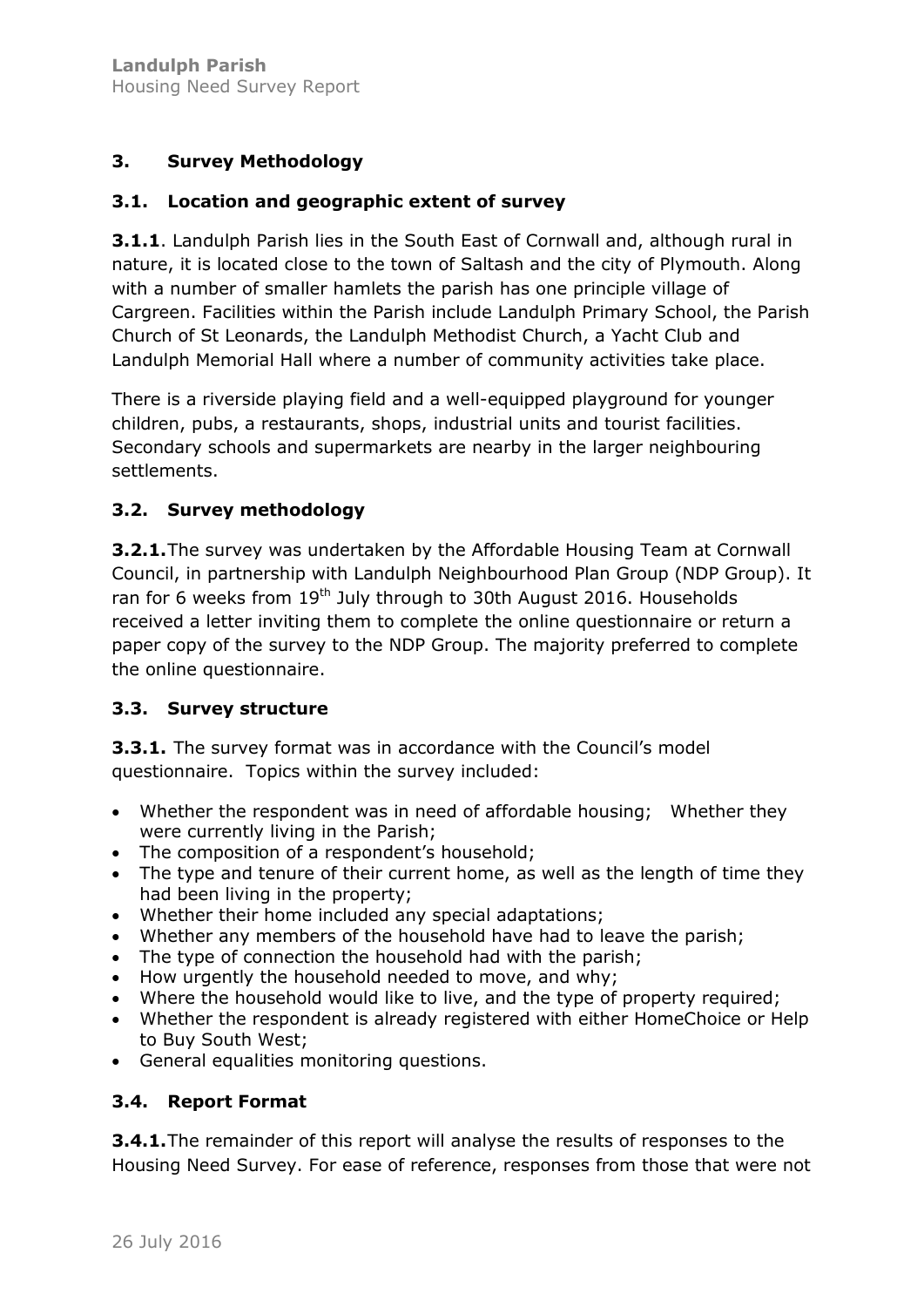## **3. Survey Methodology**

## **3.1. Location and geographic extent of survey**

**3.1.1**. Landulph Parish lies in the South East of Cornwall and, although rural in nature, it is located close to the town of Saltash and the city of Plymouth. Along with a number of smaller hamlets the parish has one principle village of Cargreen. Facilities within the Parish include Landulph Primary School, the Parish Church of St Leonards, the Landulph Methodist Church, a Yacht Club and Landulph Memorial Hall where a number of community activities take place.

There is a riverside playing field and a well-equipped playground for younger children, pubs, a restaurants, shops, industrial units and tourist facilities. Secondary schools and supermarkets are nearby in the larger neighbouring settlements.

## **3.2. Survey methodology**

**3.2.1.**The survey was undertaken by the Affordable Housing Team at Cornwall Council, in partnership with Landulph Neighbourhood Plan Group (NDP Group). It ran for 6 weeks from 19<sup>th</sup> July through to 30th August 2016. Households received a letter inviting them to complete the online questionnaire or return a paper copy of the survey to the NDP Group. The majority preferred to complete the online questionnaire.

## **3.3. Survey structure**

**3.3.1.** The survey format was in accordance with the Council's model questionnaire. Topics within the survey included:

- Whether the respondent was in need of affordable housing; Whether they were currently living in the Parish;
- The composition of a respondent's household;
- The type and tenure of their current home, as well as the length of time they had been living in the property;
- Whether their home included any special adaptations;
- Whether any members of the household have had to leave the parish;
- The type of connection the household had with the parish;
- How urgently the household needed to move, and why;
- Where the household would like to live, and the type of property required;
- Whether the respondent is already registered with either HomeChoice or Help to Buy South West;
- General equalities monitoring questions.

## **3.4. Report Format**

**3.4.1.**The remainder of this report will analyse the results of responses to the Housing Need Survey. For ease of reference, responses from those that were not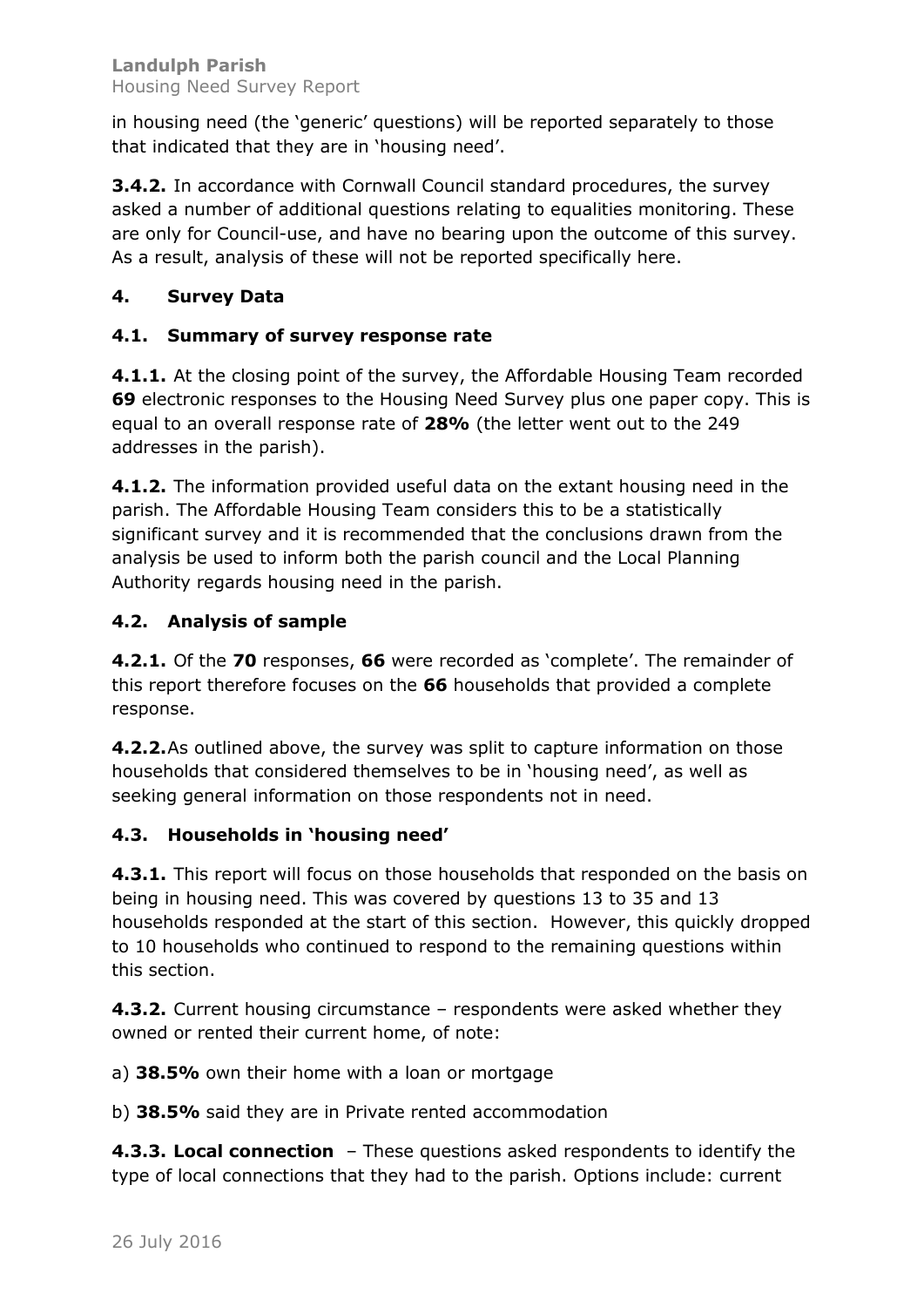in housing need (the 'generic' questions) will be reported separately to those that indicated that they are in 'housing need'.

**3.4.2.** In accordance with Cornwall Council standard procedures, the survey asked a number of additional questions relating to equalities monitoring. These are only for Council-use, and have no bearing upon the outcome of this survey. As a result, analysis of these will not be reported specifically here.

## **4. Survey Data**

## **4.1. Summary of survey response rate**

**4.1.1.** At the closing point of the survey, the Affordable Housing Team recorded **69** electronic responses to the Housing Need Survey plus one paper copy. This is equal to an overall response rate of **28%** (the letter went out to the 249 addresses in the parish).

**4.1.2.** The information provided useful data on the extant housing need in the parish. The Affordable Housing Team considers this to be a statistically significant survey and it is recommended that the conclusions drawn from the analysis be used to inform both the parish council and the Local Planning Authority regards housing need in the parish.

## **4.2. Analysis of sample**

**4.2.1.** Of the **70** responses, **66** were recorded as 'complete'. The remainder of this report therefore focuses on the **66** households that provided a complete response.

**4.2.2.**As outlined above, the survey was split to capture information on those households that considered themselves to be in 'housing need', as well as seeking general information on those respondents not in need.

## **4.3. Households in 'housing need'**

**4.3.1.** This report will focus on those households that responded on the basis on being in housing need. This was covered by questions 13 to 35 and 13 households responded at the start of this section. However, this quickly dropped to 10 households who continued to respond to the remaining questions within this section.

**4.3.2.** Current housing circumstance – respondents were asked whether they owned or rented their current home, of note:

a) **38.5%** own their home with a loan or mortgage

b) **38.5%** said they are in Private rented accommodation

**4.3.3. Local connection** – These questions asked respondents to identify the type of local connections that they had to the parish. Options include: current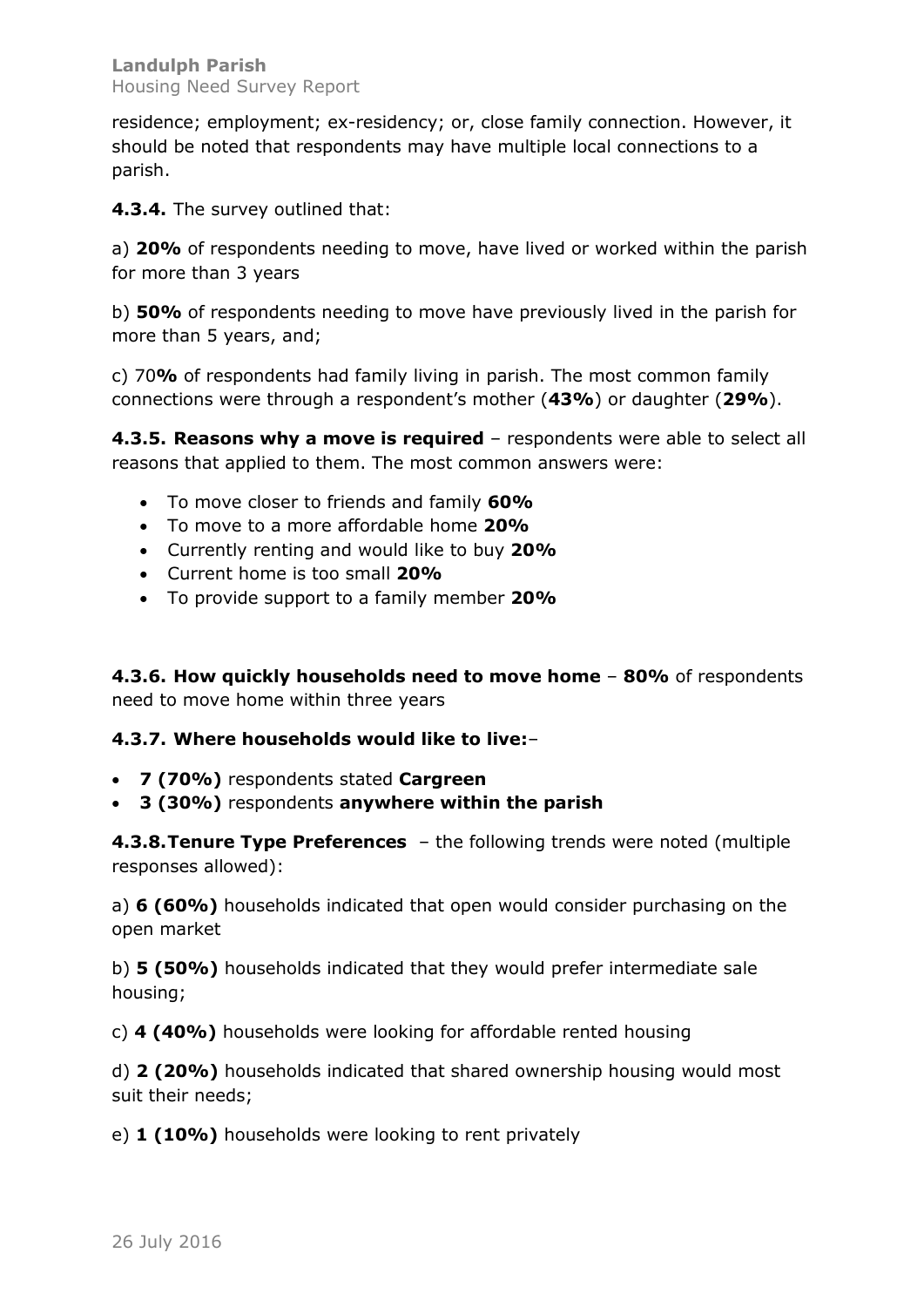residence; employment; ex-residency; or, close family connection. However, it should be noted that respondents may have multiple local connections to a parish.

**4.3.4.** The survey outlined that:

a) **20%** of respondents needing to move, have lived or worked within the parish for more than 3 years

b) **50%** of respondents needing to move have previously lived in the parish for more than 5 years, and;

c) 70**%** of respondents had family living in parish. The most common family connections were through a respondent's mother (**43%**) or daughter (**29%**).

**4.3.5. Reasons why a move is required** – respondents were able to select all reasons that applied to them. The most common answers were:

- x To move closer to friends and family **60%**
- x To move to a more affordable home **20%**
- x Currently renting and would like to buy **20%**
- x Current home is too small **20%**
- x To provide support to a family member **20%**

**4.3.6. How quickly households need to move home** – **80%** of respondents need to move home within three years

#### **4.3.7. Where households would like to live:**–

- x **7 (70%)** respondents stated **Cargreen**
- x **3 (30%)** respondents **anywhere within the parish**

**4.3.8.Tenure Type Preferences** – the following trends were noted (multiple responses allowed):

a) **6 (60%)** households indicated that open would consider purchasing on the open market

b) **5 (50%)** households indicated that they would prefer intermediate sale housing;

c) **4 (40%)** households were looking for affordable rented housing

d) **2 (20%)** households indicated that shared ownership housing would most suit their needs;

e) **1 (10%)** households were looking to rent privately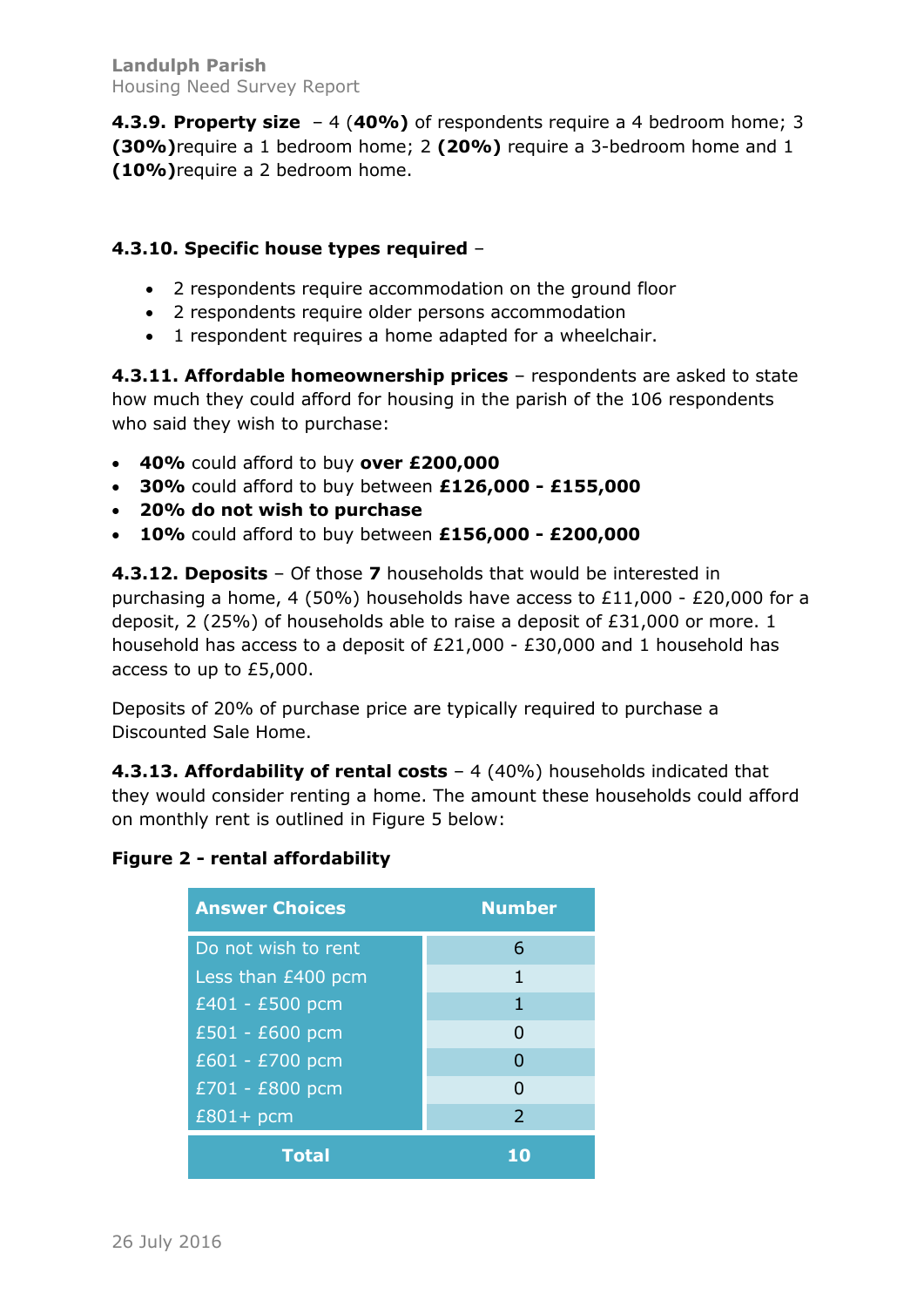**4.3.9. Property size** – 4 (**40%)** of respondents require a 4 bedroom home; 3 **(30%)**require a 1 bedroom home; 2 **(20%)** require a 3-bedroom home and 1 **(10%)**require a 2 bedroom home.

## **4.3.10. Specific house types required** –

- 2 respondents require accommodation on the ground floor
- 2 respondents require older persons accommodation
- 1 respondent requires a home adapted for a wheelchair.

**4.3.11. Affordable homeownership prices** – respondents are asked to state how much they could afford for housing in the parish of the 106 respondents who said they wish to purchase:

- x **40%** could afford to buy **over £200,000**
- x **30%** could afford to buy between **£126,000 - £155,000**
- x **20% do not wish to purchase**
- x **10%** could afford to buy between **£156,000 - £200,000**

**4.3.12. Deposits** – Of those **7** households that would be interested in purchasing a home, 4 (50%) households have access to £11,000 - £20,000 for a deposit, 2 (25%) of households able to raise a deposit of £31,000 or more. 1 household has access to a deposit of £21,000 - £30,000 and 1 household has access to up to £5,000.

Deposits of 20% of purchase price are typically required to purchase a Discounted Sale Home.

**4.3.13. Affordability of rental costs** – 4 (40%) households indicated that they would consider renting a home. The amount these households could afford on monthly rent is outlined in Figure 5 below:

## **Figure 2 - rental affordability**

| <b>Answer Choices</b> | <b>Number</b> |  |  |  |  |
|-----------------------|---------------|--|--|--|--|
| Do not wish to rent   | 6             |  |  |  |  |
| Less than £400 pcm    | 1             |  |  |  |  |
| $E401 - E500$ pcm     | 1             |  |  |  |  |
| £501 - £600 pcm       | 0             |  |  |  |  |
| £601 - £700 pcm       | n             |  |  |  |  |
| £701 - £800 pcm       | O             |  |  |  |  |
| $£801+$ pcm           | $\mathcal{L}$ |  |  |  |  |
| <b>Total</b>          |               |  |  |  |  |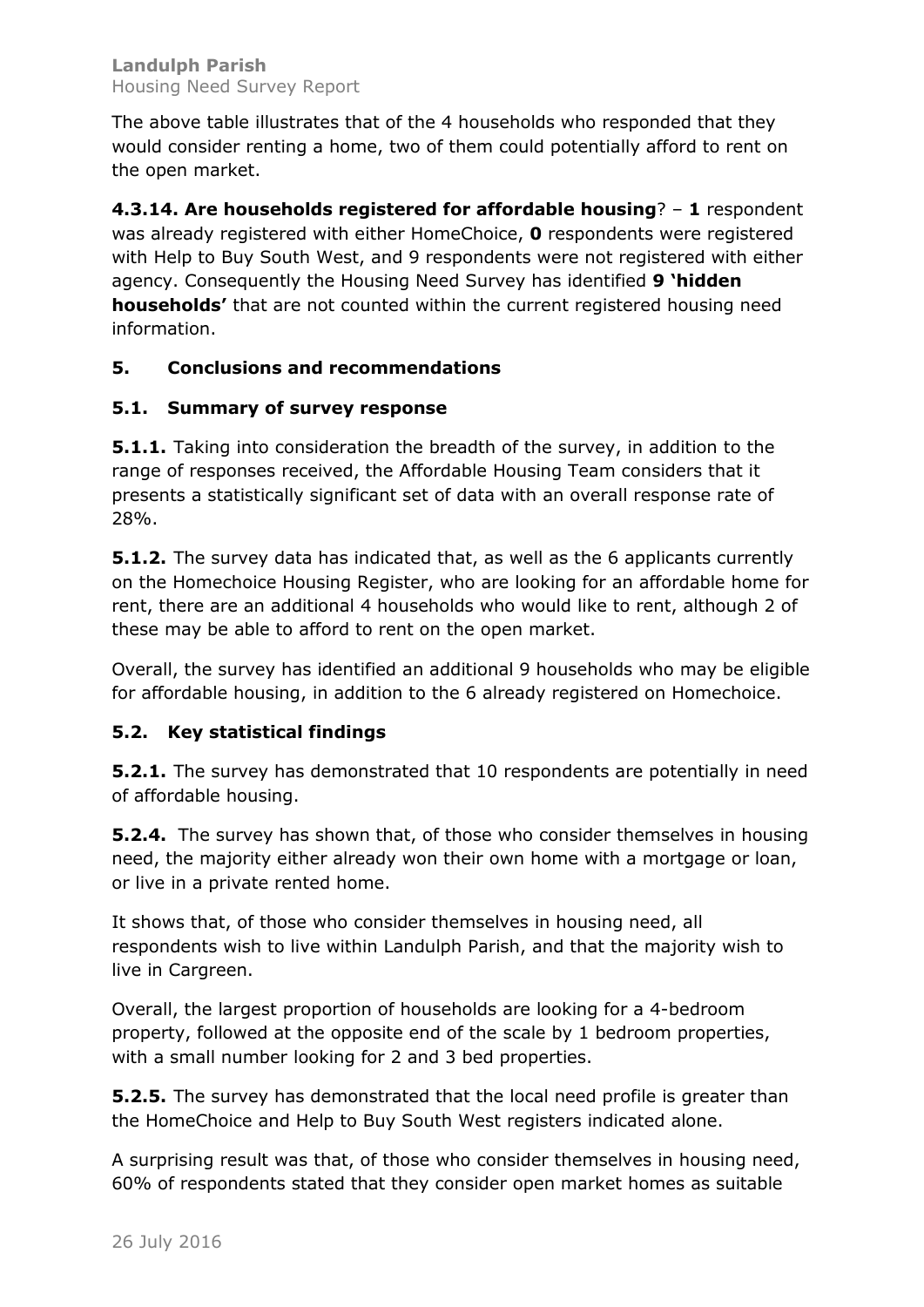The above table illustrates that of the 4 households who responded that they would consider renting a home, two of them could potentially afford to rent on the open market.

**4.3.14. Are households registered for affordable housing**? – **1** respondent was already registered with either HomeChoice, **0** respondents were registered with Help to Buy South West, and 9 respondents were not registered with either agency. Consequently the Housing Need Survey has identified **9 'hidden households'** that are not counted within the current registered housing need information.

## **5. Conclusions and recommendations**

## **5.1. Summary of survey response**

**5.1.1.** Taking into consideration the breadth of the survey, in addition to the range of responses received, the Affordable Housing Team considers that it presents a statistically significant set of data with an overall response rate of 28%.

**5.1.2.** The survey data has indicated that, as well as the 6 applicants currently on the Homechoice Housing Register, who are looking for an affordable home for rent, there are an additional 4 households who would like to rent, although 2 of these may be able to afford to rent on the open market.

Overall, the survey has identified an additional 9 households who may be eligible for affordable housing, in addition to the 6 already registered on Homechoice.

## **5.2. Key statistical findings**

**5.2.1.** The survey has demonstrated that 10 respondents are potentially in need of affordable housing.

**5.2.4.** The survey has shown that, of those who consider themselves in housing need, the majority either already won their own home with a mortgage or loan, or live in a private rented home.

It shows that, of those who consider themselves in housing need, all respondents wish to live within Landulph Parish, and that the majority wish to live in Cargreen.

Overall, the largest proportion of households are looking for a 4-bedroom property, followed at the opposite end of the scale by 1 bedroom properties, with a small number looking for 2 and 3 bed properties.

**5.2.5.** The survey has demonstrated that the local need profile is greater than the HomeChoice and Help to Buy South West registers indicated alone.

A surprising result was that, of those who consider themselves in housing need, 60% of respondents stated that they consider open market homes as suitable